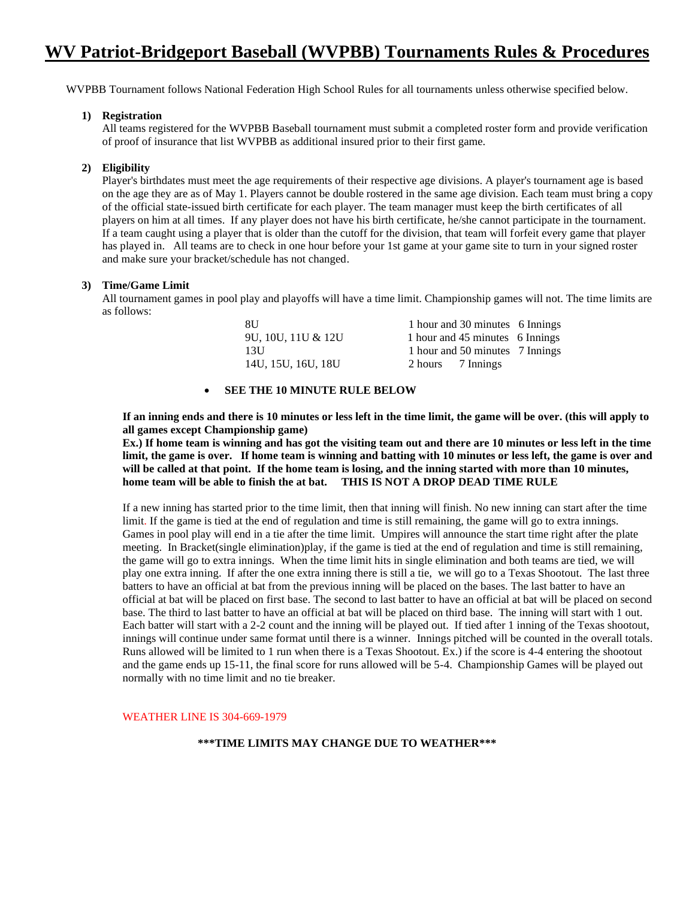# **WV Patriot-Bridgeport Baseball (WVPBB) Tournaments Rules & Procedures**

WVPBB Tournament follows National Federation High School Rules for all tournaments unless otherwise specified below.

# **1) Registration**

All teams registered for the WVPBB Baseball tournament must submit a completed roster form and provide verification of proof of insurance that list WVPBB as additional insured prior to their first game.

# **2) Eligibility**

Player's birthdates must meet the age requirements of their respective age divisions. A player's tournament age is based on the age they are as of May 1. Players cannot be double rostered in the same age division. Each team must bring a copy of the official state-issued birth certificate for each player. The team manager must keep the birth certificates of all players on him at all times. If any player does not have his birth certificate, he/she cannot participate in the tournament. If a team caught using a player that is older than the cutoff for the division, that team will forfeit every game that player has played in. All teams are to check in one hour before your 1st game at your game site to turn in your signed roster and make sure your bracket/schedule has not changed.

#### **3) Time/Game Limit**

All tournament games in pool play and playoffs will have a time limit. Championship games will not. The time limits are as follows:

| 8U                 | 1 hour and 30 minutes 6 Innings |  |
|--------------------|---------------------------------|--|
| 9U, 10U, 11U & 12U | 1 hour and 45 minutes 6 Innings |  |
| 13U                | 1 hour and 50 minutes 7 Innings |  |
| 14U, 15U, 16U, 18U | 2 hours 7 Innings               |  |

# • **SEE THE 10 MINUTE RULE BELOW**

**If an inning ends and there is 10 minutes or less left in the time limit, the game will be over. (this will apply to all games except Championship game)** 

**Ex.) If home team is winning and has got the visiting team out and there are 10 minutes or less left in the time limit, the game is over. If home team is winning and batting with 10 minutes or less left, the game is over and will be called at that point. If the home team is losing, and the inning started with more than 10 minutes, home team will be able to finish the at bat. THIS IS NOT A DROP DEAD TIME RULE**

If a new inning has started prior to the time limit, then that inning will finish. No new inning can start after the time limit. If the game is tied at the end of regulation and time is still remaining, the game will go to extra innings. Games in pool play will end in a tie after the time limit. Umpires will announce the start time right after the plate meeting. In Bracket(single elimination)play, if the game is tied at the end of regulation and time is still remaining, the game will go to extra innings. When the time limit hits in single elimination and both teams are tied, we will play one extra inning. If after the one extra inning there is still a tie, we will go to a Texas Shootout. The last three batters to have an official at bat from the previous inning will be placed on the bases. The last batter to have an official at bat will be placed on first base. The second to last batter to have an official at bat will be placed on second base. The third to last batter to have an official at bat will be placed on third base. The inning will start with 1 out. Each batter will start with a 2-2 count and the inning will be played out. If tied after 1 inning of the Texas shootout, innings will continue under same format until there is a winner. Innings pitched will be counted in the overall totals. Runs allowed will be limited to 1 run when there is a Texas Shootout. Ex.) if the score is 4-4 entering the shootout and the game ends up 15-11, the final score for runs allowed will be 5-4. Championship Games will be played out normally with no time limit and no tie breaker.

WEATHER LINE IS 304-669-1979

#### **\*\*\*TIME LIMITS MAY CHANGE DUE TO WEATHER\*\*\***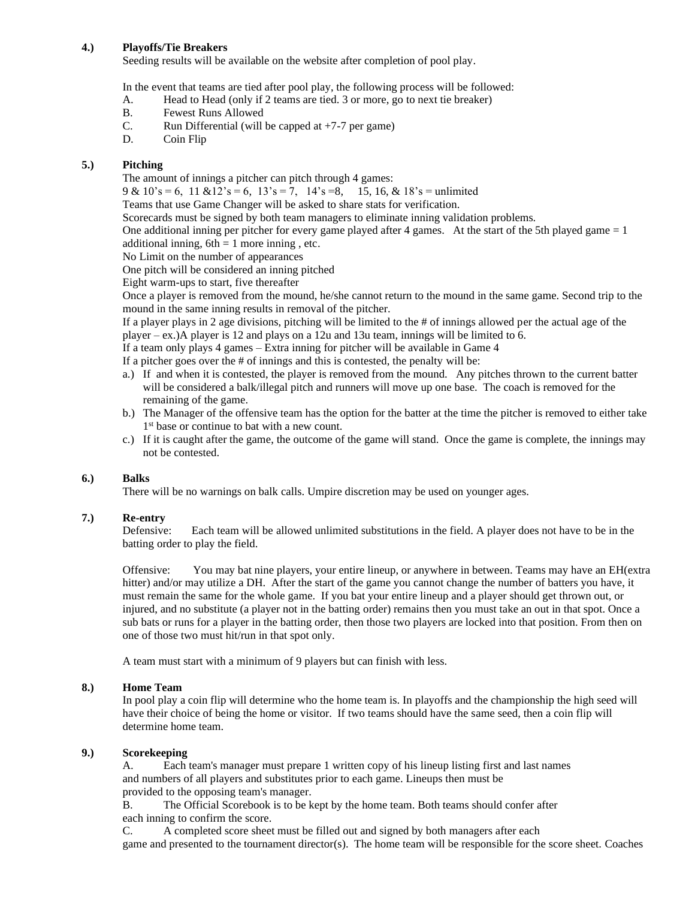# **4.) Playoffs/Tie Breakers**

Seeding results will be available on the website after completion of pool play.

In the event that teams are tied after pool play, the following process will be followed:

- A. Head to Head (only if 2 teams are tied. 3 or more, go to next tie breaker)
- B. Fewest Runs Allowed
- C. Run Differential (will be capped at  $+7-7$  per game)
- D. Coin Flip

# **5.) Pitching**

The amount of innings a pitcher can pitch through 4 games:

 $9 & 10's = 6$ ,  $11 & 12's = 6$ ,  $13's = 7$ ,  $14's = 8$ ,  $15$ ,  $16$ ,  $& 18's =$  unlimited

Teams that use Game Changer will be asked to share stats for verification.

Scorecards must be signed by both team managers to eliminate inning validation problems.

One additional inning per pitcher for every game played after 4 games. At the start of the 5th played game = 1 additional inning,  $6th = 1$  more inning, etc.

No Limit on the number of appearances

One pitch will be considered an inning pitched

Eight warm-ups to start, five thereafter

Once a player is removed from the mound, he/she cannot return to the mound in the same game. Second trip to the mound in the same inning results in removal of the pitcher.

If a player plays in 2 age divisions, pitching will be limited to the # of innings allowed per the actual age of the player – ex.)A player is 12 and plays on a 12u and 13u team, innings will be limited to 6.

If a team only plays 4 games – Extra inning for pitcher will be available in Game 4

If a pitcher goes over the # of innings and this is contested, the penalty will be:

- a.) If and when it is contested, the player is removed from the mound. Any pitches thrown to the current batter will be considered a balk/illegal pitch and runners will move up one base. The coach is removed for the remaining of the game.
- b.) The Manager of the offensive team has the option for the batter at the time the pitcher is removed to either take 1<sup>st</sup> base or continue to bat with a new count.
- c.) If it is caught after the game, the outcome of the game will stand. Once the game is complete, the innings may not be contested.

# **6.) Balks**

There will be no warnings on balk calls. Umpire discretion may be used on younger ages.

# **7.) Re-entry**

Defensive: Each team will be allowed unlimited substitutions in the field. A player does not have to be in the batting order to play the field.

Offensive: You may bat nine players, your entire lineup, or anywhere in between. Teams may have an EH(extra hitter) and/or may utilize a DH. After the start of the game you cannot change the number of batters you have, it must remain the same for the whole game. If you bat your entire lineup and a player should get thrown out, or injured, and no substitute (a player not in the batting order) remains then you must take an out in that spot. Once a sub bats or runs for a player in the batting order, then those two players are locked into that position. From then on one of those two must hit/run in that spot only.

A team must start with a minimum of 9 players but can finish with less.

# **8.) Home Team**

In pool play a coin flip will determine who the home team is. In playoffs and the championship the high seed will have their choice of being the home or visitor. If two teams should have the same seed, then a coin flip will determine home team.

# **9.) Scorekeeping**

A. Each team's manager must prepare 1 written copy of his lineup listing first and last names and numbers of all players and substitutes prior to each game. Lineups then must be provided to the opposing team's manager.

B. The Official Scorebook is to be kept by the home team. Both teams should confer after each inning to confirm the score.

C. A completed score sheet must be filled out and signed by both managers after each game and presented to the tournament director(s). The home team will be responsible for the score sheet. Coaches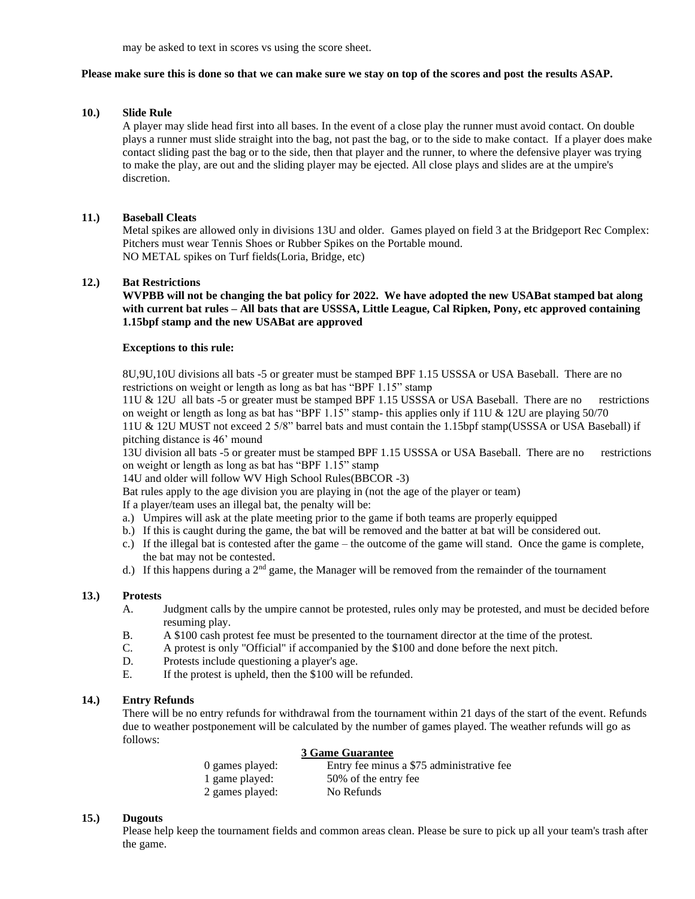may be asked to text in scores vs using the score sheet.

#### **Please make sure this is done so that we can make sure we stay on top of the scores and post the results ASAP.**

# **10.) Slide Rule**

A player may slide head first into all bases. In the event of a close play the runner must avoid contact. On double plays a runner must slide straight into the bag, not past the bag, or to the side to make contact. If a player does make contact sliding past the bag or to the side, then that player and the runner, to where the defensive player was trying to make the play, are out and the sliding player may be ejected. All close plays and slides are at the umpire's discretion.

## **11.) Baseball Cleats**

Metal spikes are allowed only in divisions 13U and older. Games played on field 3 at the Bridgeport Rec Complex: Pitchers must wear Tennis Shoes or Rubber Spikes on the Portable mound. NO METAL spikes on Turf fields(Loria, Bridge, etc)

# **12.) Bat Restrictions**

**WVPBB will not be changing the bat policy for 2022. We have adopted the new USABat stamped bat along with current bat rules – All bats that are USSSA, Little League, Cal Ripken, Pony, etc approved containing 1.15bpf stamp and the new USABat are approved**

#### **Exceptions to this rule:**

8U,9U,10U divisions all bats -5 or greater must be stamped BPF 1.15 USSSA or USA Baseball. There are no restrictions on weight or length as long as bat has "BPF 1.15" stamp

11U & 12U all bats -5 or greater must be stamped BPF 1.15 USSSA or USA Baseball. There are no restrictions on weight or length as long as bat has "BPF 1.15" stamp- this applies only if 11U & 12U are playing  $50/70$ 11U & 12U MUST not exceed 2 5/8" barrel bats and must contain the 1.15bpf stamp(USSSA or USA Baseball) if pitching distance is 46' mound

13U division all bats -5 or greater must be stamped BPF 1.15 USSSA or USA Baseball. There are no restrictions on weight or length as long as bat has "BPF 1.15" stamp

14U and older will follow WV High School Rules(BBCOR -3)

Bat rules apply to the age division you are playing in (not the age of the player or team)

If a player/team uses an illegal bat, the penalty will be:

- a.) Umpires will ask at the plate meeting prior to the game if both teams are properly equipped
- b.) If this is caught during the game, the bat will be removed and the batter at bat will be considered out.
- c.) If the illegal bat is contested after the game the outcome of the game will stand. Once the game is complete, the bat may not be contested.
- d.) If this happens during a 2<sup>nd</sup> game, the Manager will be removed from the remainder of the tournament

#### **13.) Protests**

- A. Judgment calls by the umpire cannot be protested, rules only may be protested, and must be decided before resuming play.
- B. A \$100 cash protest fee must be presented to the tournament director at the time of the protest.
- C. A protest is only "Official" if accompanied by the \$100 and done before the next pitch.
- D. Protests include questioning a player's age.
- E. If the protest is upheld, then the \$100 will be refunded.

#### **14.) Entry Refunds**

There will be no entry refunds for withdrawal from the tournament within 21 days of the start of the event. Refunds due to weather postponement will be calculated by the number of games played. The weather refunds will go as follows:

#### **3 Game Guarantee**

| 0 games played: | Entry fee minus a \$75 administrative fee |
|-----------------|-------------------------------------------|
| 1 game played:  | 50% of the entry fee                      |
| 2 games played: | No Refunds                                |

# **15.) Dugouts**

Please help keep the tournament fields and common areas clean. Please be sure to pick up all your team's trash after the game.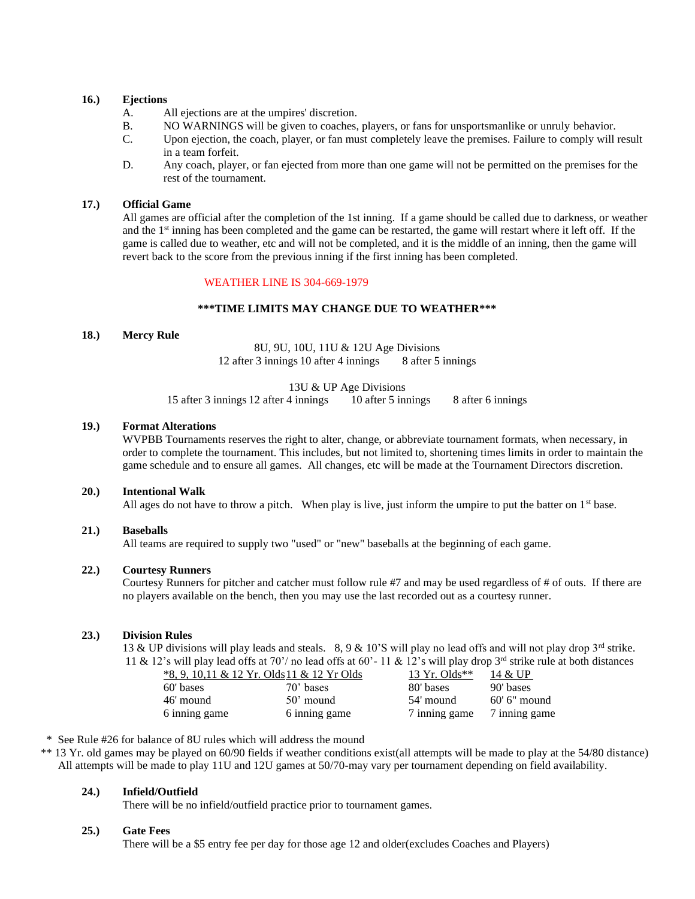# **16.) Ejections**

- A. All ejections are at the umpires' discretion.
- B. NO WARNINGS will be given to coaches, players, or fans for unsportsmanlike or unruly behavior.
- C. Upon ejection, the coach, player, or fan must completely leave the premises. Failure to comply will result in a team forfeit.
- D. Any coach, player, or fan ejected from more than one game will not be permitted on the premises for the rest of the tournament.

# **17.) Official Game**

All games are official after the completion of the 1st inning. If a game should be called due to darkness, or weather and the 1<sup>st</sup> inning has been completed and the game can be restarted, the game will restart where it left off. If the game is called due to weather, etc and will not be completed, and it is the middle of an inning, then the game will revert back to the score from the previous inning if the first inning has been completed.

## WEATHER LINE IS 304-669-1979

#### **\*\*\*TIME LIMITS MAY CHANGE DUE TO WEATHER\*\*\***

### **18.) Mercy Rule**

8U, 9U, 10U, 11U & 12U Age Divisions 12 after 3 innings 10 after 4 innings 8 after 5 innings

13U & UP Age Divisions 15 after 3 innings 12 after 4 innings 10 after 5 innings 8 after 6 innings

# **19.) Format Alterations**

WVPBB Tournaments reserves the right to alter, change, or abbreviate tournament formats, when necessary, in order to complete the tournament. This includes, but not limited to, shortening times limits in order to maintain the game schedule and to ensure all games. All changes, etc will be made at the Tournament Directors discretion.

#### **20.) Intentional Walk**

All ages do not have to throw a pitch. When play is live, just inform the umpire to put the batter on  $1<sup>st</sup>$  base.

#### **21.) Baseballs**

All teams are required to supply two "used" or "new" baseballs at the beginning of each game.

#### **22.) Courtesy Runners**

Courtesy Runners for pitcher and catcher must follow rule #7 and may be used regardless of # of outs. If there are no players available on the bench, then you may use the last recorded out as a courtesy runner.

#### **23.) Division Rules**

13 & UP divisions will play leads and steals. 8, 9 & 10'S will play no lead offs and will not play drop  $3^{rd}$  strike. 11 & 12's will play lead offs at 70'/ no lead offs at 60'- 11 & 12's will play drop  $3^{rd}$  strike rule at both distances

| *8, 9, 10,11 & 12 Yr. Olds 11 & 12 Yr Olds |               | 13 Yr. Olds** | 14 & UP       |
|--------------------------------------------|---------------|---------------|---------------|
| 60' bases                                  | $70'$ bases   | 80' bases     | 90' bases     |
| 46' mound                                  | $50'$ mound   | 54' mound     | 60' 6" mound  |
| 6 inning game                              | 6 inning game | 7 inning game | 7 inning game |

\* See Rule #26 for balance of 8U rules which will address the mound

\*\* 13 Yr. old games may be played on 60/90 fields if weather conditions exist(all attempts will be made to play at the 54/80 distance) All attempts will be made to play 11U and 12U games at 50/70-may vary per tournament depending on field availability.

#### **24.) Infield/Outfield**

There will be no infield/outfield practice prior to tournament games.

#### **25.) Gate Fees**

There will be a \$5 entry fee per day for those age 12 and older(excludes Coaches and Players)